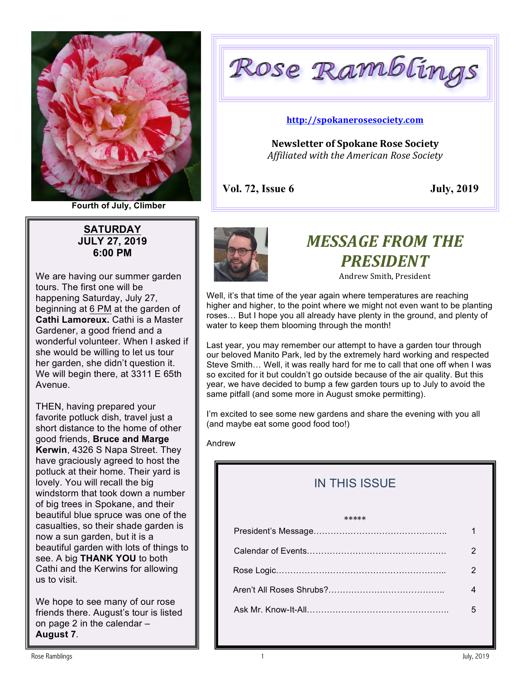

**Fourth of July, Climber**

**SATURDAY JULY 27, 2019 6:00 PM**

We are having our summer garden tours. The first one will be happening Saturday, July 27, beginning at 6 PM at the garden of **Cathi Lamoreux.** Cathi is a Master Gardener, a good friend and a wonderful volunteer. When I asked if she would be willing to let us tour her garden, she didn't question it. We will begin there, at 3311 E 65th Avenue.

THEN, having prepared your favorite potluck dish, travel just a short distance to the home of other good friends, **Bruce and Marge Kerwin**, 4326 S Napa Street. They have graciously agreed to host the potluck at their home. Their yard is lovely. You will recall the big windstorm that took down a number of big trees in Spokane, and their beautiful blue spruce was one of the casualties, so their shade garden is now a sun garden, but it is a beautiful garden with lots of things to see. A big **THANK YOU** to both Cathi and the Kerwins for allowing us to visit.

We hope to see many of our rose friends there. August's tour is listed on page 2 in the calendar – **August 7**.

Rose Ramblings

#### **http://spokanerosesociety.com**

**Newsletter of Spokane Rose Society** *Affiliated with the American Rose Society*

**Vol. 72, Issue 6 July, 2019**



# **MESSAGE FROM THE** *PRESIDENT*

Andrew Smith, President

Well, it's that time of the year again where temperatures are reaching higher and higher, to the point where we might not even want to be planting roses… But I hope you all already have plenty in the ground, and plenty of water to keep them blooming through the month!

Last year, you may remember our attempt to have a garden tour through our beloved Manito Park, led by the extremely hard working and respected Steve Smith… Well, it was really hard for me to call that one off when I was so excited for it but couldn't go outside because of the air quality. But this year, we have decided to bump a few garden tours up to July to avoid the same pitfall (and some more in August smoke permitting).

I'm excited to see some new gardens and share the evening with you all (and maybe eat some good food too!)

Andrew

## IN THIS ISSUE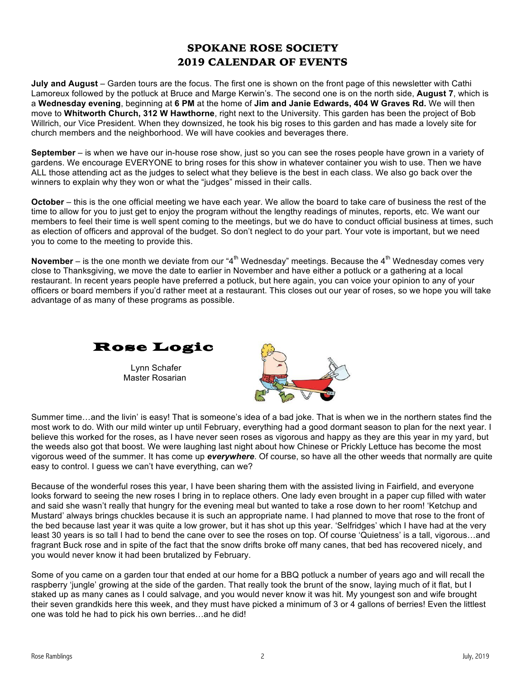#### SPOKANE ROSE SOCIETY 2019 CALENDAR OF EVENTS

**July and August** – Garden tours are the focus. The first one is shown on the front page of this newsletter with Cathi Lamoreux followed by the potluck at Bruce and Marge Kerwin's. The second one is on the north side, **August 7**, which is a **Wednesday evening**, beginning at **6 PM** at the home of **Jim and Janie Edwards, 404 W Graves Rd.** We will then move to **Whitworth Church, 312 W Hawthorne**, right next to the University. This garden has been the project of Bob Willrich, our Vice President. When they downsized, he took his big roses to this garden and has made a lovely site for church members and the neighborhood. We will have cookies and beverages there.

**September** – is when we have our in-house rose show, just so you can see the roses people have grown in a variety of gardens. We encourage EVERYONE to bring roses for this show in whatever container you wish to use. Then we have ALL those attending act as the judges to select what they believe is the best in each class. We also go back over the winners to explain why they won or what the "judges" missed in their calls.

**October** – this is the one official meeting we have each year. We allow the board to take care of business the rest of the time to allow for you to just get to enjoy the program without the lengthy readings of minutes, reports, etc. We want our members to feel their time is well spent coming to the meetings, but we do have to conduct official business at times, such as election of officers and approval of the budget. So don't neglect to do your part. Your vote is important, but we need you to come to the meeting to provide this.

**November** – is the one month we deviate from our "4<sup>th</sup> Wednesday" meetings. Because the 4<sup>th</sup> Wednesday comes very close to Thanksgiving, we move the date to earlier in November and have either a potluck or a gathering at a local restaurant. In recent years people have preferred a potluck, but here again, you can voice your opinion to any of your officers or board members if you'd rather meet at a restaurant. This closes out our year of roses, so we hope you will take advantage of as many of these programs as possible.



Summer time…and the livin' is easy! That is someone's idea of a bad joke. That is when we in the northern states find the most work to do. With our mild winter up until February, everything had a good dormant season to plan for the next year. I believe this worked for the roses, as I have never seen roses as vigorous and happy as they are this year in my yard, but the weeds also got that boost. We were laughing last night about how Chinese or Prickly Lettuce has become the most vigorous weed of the summer. It has come up *everywhere*. Of course, so have all the other weeds that normally are quite easy to control. I guess we can't have everything, can we?

Because of the wonderful roses this year, I have been sharing them with the assisted living in Fairfield, and everyone looks forward to seeing the new roses I bring in to replace others. One lady even brought in a paper cup filled with water and said she wasn't really that hungry for the evening meal but wanted to take a rose down to her room! 'Ketchup and Mustard' always brings chuckles because it is such an appropriate name. I had planned to move that rose to the front of the bed because last year it was quite a low grower, but it has shot up this year. 'Selfridges' which I have had at the very least 30 years is so tall I had to bend the cane over to see the roses on top. Of course 'Quietness' is a tall, vigorous…and fragrant Buck rose and in spite of the fact that the snow drifts broke off many canes, that bed has recovered nicely, and you would never know it had been brutalized by February.

Some of you came on a garden tour that ended at our home for a BBQ potluck a number of years ago and will recall the raspberry 'jungle' growing at the side of the garden. That really took the brunt of the snow, laying much of it flat, but I staked up as many canes as I could salvage, and you would never know it was hit. My youngest son and wife brought their seven grandkids here this week, and they must have picked a minimum of 3 or 4 gallons of berries! Even the littlest one was told he had to pick his own berries…and he did!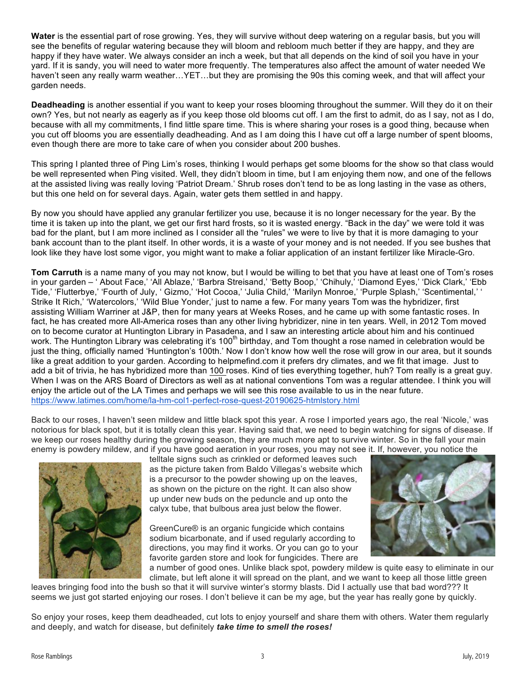**Water** is the essential part of rose growing. Yes, they will survive without deep watering on a regular basis, but you will see the benefits of regular watering because they will bloom and rebloom much better if they are happy, and they are happy if they have water. We always consider an inch a week, but that all depends on the kind of soil you have in your yard. If it is sandy, you will need to water more frequently. The temperatures also affect the amount of water needed We haven't seen any really warm weather…YET…but they are promising the 90s this coming week, and that will affect your garden needs.

**Deadheading** is another essential if you want to keep your roses blooming throughout the summer. Will they do it on their own? Yes, but not nearly as eagerly as if you keep those old blooms cut off. I am the first to admit, do as I say, not as I do, because with all my commitments, I find little spare time. This is where sharing your roses is a good thing, because when you cut off blooms you are essentially deadheading. And as I am doing this I have cut off a large number of spent blooms, even though there are more to take care of when you consider about 200 bushes.

This spring I planted three of Ping Lim's roses, thinking I would perhaps get some blooms for the show so that class would be well represented when Ping visited. Well, they didn't bloom in time, but I am enjoying them now, and one of the fellows at the assisted living was really loving 'Patriot Dream.' Shrub roses don't tend to be as long lasting in the vase as others, but this one held on for several days. Again, water gets them settled in and happy.

By now you should have applied any granular fertilizer you use, because it is no longer necessary for the year. By the time it is taken up into the plant, we get our first hard frosts, so it is wasted energy. "Back in the day" we were told it was bad for the plant, but I am more inclined as I consider all the "rules" we were to live by that it is more damaging to your bank account than to the plant itself. In other words, it is a waste of your money and is not needed. If you see bushes that look like they have lost some vigor, you might want to make a foliar application of an instant fertilizer like Miracle-Gro.

**Tom Carruth** is a name many of you may not know, but I would be willing to bet that you have at least one of Tom's roses in your garden – ' About Face,' 'All Ablaze,' 'Barbra Streisand,' 'Betty Boop,' 'Chihuly,' 'Diamond Eyes,' 'Dick Clark,' 'Ebb Tide,' 'Flutterbye,' 'Fourth of July, ' Gizmo,' 'Hot Cocoa,' 'Julia Child,' 'Marilyn Monroe,' 'Purple Splash,' 'Scentimental,' ' Strike It Rich,' 'Watercolors,' 'Wild Blue Yonder,' just to name a few. For many years Tom was the hybridizer, first assisting William Warriner at J&P, then for many years at Weeks Roses, and he came up with some fantastic roses. In fact, he has created more All-America roses than any other living hybridizer, nine in ten years. Well, in 2012 Tom moved on to become curator at Huntington Library in Pasadena, and I saw an interesting article about him and his continued work. The Huntington Library was celebrating it's 100<sup>th</sup> birthday, and Tom thought a rose named in celebration would be just the thing, officially named 'Huntington's 100th.' Now I don't know how well the rose will grow in our area, but it sounds like a great addition to your garden. According to helpmefind.com it prefers dry climates, and we fit that image. Just to add a bit of trivia, he has hybridized more than 100 roses. Kind of ties everything together, huh? Tom really is a great guy. When I was on the ARS Board of Directors as well as at national conventions Tom was a regular attendee. I think you will enjoy the article out of the LA Times and perhaps we will see this rose available to us in the near future. https://www.latimes.com/home/la-hm-col1-perfect-rose-quest-20190625-htmlstory.html

Back to our roses, I haven't seen mildew and little black spot this year. A rose I imported years ago, the real 'Nicole,' was notorious for black spot, but it is totally clean this year. Having said that, we need to begin watching for signs of disease. If we keep our roses healthy during the growing season, they are much more apt to survive winter. So in the fall your main enemy is powdery mildew, and if you have good aeration in your roses, you may not see it. If, however, you notice the



telltale signs such as crinkled or deformed leaves such as the picture taken from Baldo Villegas's website which is a precursor to the powder showing up on the leaves, as shown on the picture on the right. It can also show up under new buds on the peduncle and up onto the calyx tube, that bulbous area just below the flower.

GreenCure® is an organic fungicide which contains sodium bicarbonate, and if used regularly according to directions, you may find it works. Or you can go to your favorite garden store and look for fungicides. There are



a number of good ones. Unlike black spot, powdery mildew is quite easy to eliminate in our climate, but left alone it will spread on the plant, and we want to keep all those little green leaves bringing food into the bush so that it will survive winter's stormy blasts. Did I actually use that bad word??? It seems we just got started enjoying our roses. I don't believe it can be my age, but the year has really gone by quickly.

So enjoy your roses, keep them deadheaded, cut lots to enjoy yourself and share them with others. Water them regularly and deeply, and watch for disease, but definitely *take time to smell the roses!*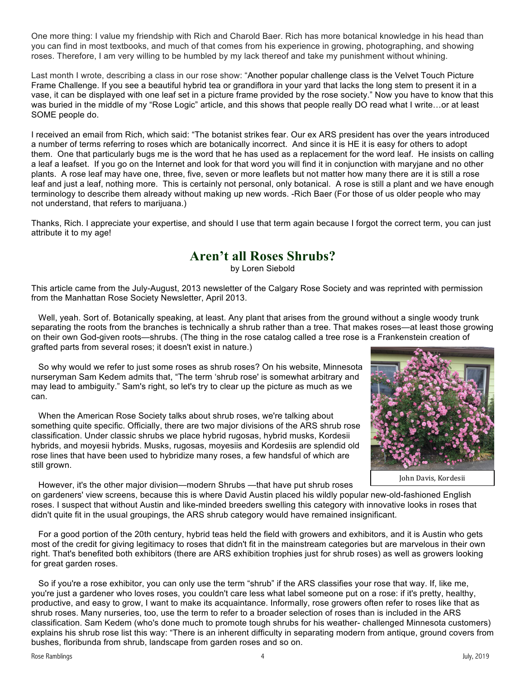One more thing: I value my friendship with Rich and Charold Baer. Rich has more botanical knowledge in his head than you can find in most textbooks, and much of that comes from his experience in growing, photographing, and showing roses. Therefore, I am very willing to be humbled by my lack thereof and take my punishment without whining.

Last month I wrote, describing a class in our rose show: "Another popular challenge class is the Velvet Touch Picture Frame Challenge. If you see a beautiful hybrid tea or grandiflora in your yard that lacks the long stem to present it in a vase, it can be displayed with one leaf set in a picture frame provided by the rose society." Now you have to know that this was buried in the middle of my "Rose Logic" article, and this shows that people really DO read what I write...or at least SOME people do.

I received an email from Rich, which said: "The botanist strikes fear. Our ex ARS president has over the years introduced a number of terms referring to roses which are botanically incorrect. And since it is HE it is easy for others to adopt them. One that particularly bugs me is the word that he has used as a replacement for the word leaf. He insists on calling a leaf a leafset. If you go on the Internet and look for that word you will find it in conjunction with maryjane and no other plants. A rose leaf may have one, three, five, seven or more leaflets but not matter how many there are it is still a rose leaf and just a leaf, nothing more. This is certainly not personal, only botanical. A rose is still a plant and we have enough terminology to describe them already without making up new words. -Rich Baer (For those of us older people who may not understand, that refers to marijuana.)

Thanks, Rich. I appreciate your expertise, and should I use that term again because I forgot the correct term, you can just attribute it to my age!

### **Aren't all Roses Shrubs?**

by Loren Siebold

This article came from the July-August, 2013 newsletter of the Calgary Rose Society and was reprinted with permission from the Manhattan Rose Society Newsletter, April 2013.

 Well, yeah. Sort of. Botanically speaking, at least. Any plant that arises from the ground without a single woody trunk separating the roots from the branches is technically a shrub rather than a tree. That makes roses—at least those growing on their own God-given roots—shrubs. (The thing in the rose catalog called a tree rose is a Frankenstein creation of grafted parts from several roses; it doesn't exist in nature.)

 So why would we refer to just some roses as shrub roses? On his website, Minnesota nurseryman Sam Kedem admits that, "The term 'shrub rose' is somewhat arbitrary and may lead to ambiguity." Sam's right, so let's try to clear up the picture as much as we can.

 When the American Rose Society talks about shrub roses, we're talking about something quite specific. Officially, there are two major divisions of the ARS shrub rose classification. Under classic shrubs we place hybrid rugosas, hybrid musks, Kordesii hybrids, and moyesii hybrids. Musks, rugosas, moyesiis and Kordesiis are splendid old rose lines that have been used to hybridize many roses, a few handsful of which are still grown.



John Davis, Kordesii

However, it's the other major division—modern Shrubs —that have put shrub roses on gardeners' view screens, because this is where David Austin placed his wildly popular new-old-fashioned English roses. I suspect that without Austin and like-minded breeders swelling this category with innovative looks in roses that didn't quite fit in the usual groupings, the ARS shrub category would have remained insignificant.

 For a good portion of the 20th century, hybrid teas held the field with growers and exhibitors, and it is Austin who gets most of the credit for giving legitimacy to roses that didn't fit in the mainstream categories but are marvelous in their own right. That's benefited both exhibitors (there are ARS exhibition trophies just for shrub roses) as well as growers looking for great garden roses.

 So if you're a rose exhibitor, you can only use the term "shrub" if the ARS classifies your rose that way. If, like me, you're just a gardener who loves roses, you couldn't care less what label someone put on a rose: if it's pretty, healthy, productive, and easy to grow, I want to make its acquaintance. Informally, rose growers often refer to roses like that as shrub roses. Many nurseries, too, use the term to refer to a broader selection of roses than is included in the ARS classification. Sam Kedem (who's done much to promote tough shrubs for his weather- challenged Minnesota customers) explains his shrub rose list this way: "There is an inherent difficulty in separating modern from antique, ground covers from bushes, floribunda from shrub, landscape from garden roses and so on.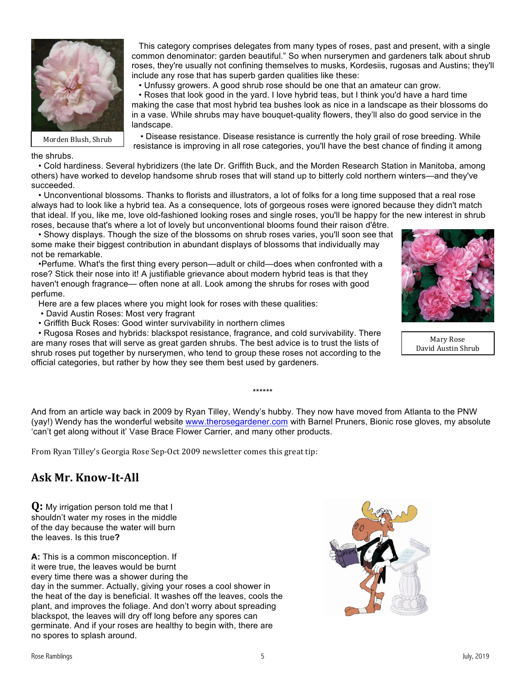

Morden Blush, Shrub

 • Roses that look good in the yard. I love hybrid teas, but I think you'd have a hard time making the case that most hybrid tea bushes look as nice in a landscape as their blossoms do in a vase. While shrubs may have bouquet-quality flowers, they'll also do good service in the landscape.

• Unfussy growers. A good shrub rose should be one that an amateur can grow.

 This category comprises delegates from many types of roses, past and present, with a single common denominator: garden beautiful." So when nurserymen and gardeners talk about shrub roses, they're usually not confining themselves to musks, Kordesiis, rugosas and Austins; they'll

 • Disease resistance. Disease resistance is currently the holy grail of rose breeding. While resistance is improving in all rose categories, you'll have the best chance of finding it among

#### the shrubs.

 • Cold hardiness. Several hybridizers (the late Dr. Griffith Buck, and the Morden Research Station in Manitoba, among others) have worked to develop handsome shrub roses that will stand up to bitterly cold northern winters—and they've succeeded.

include any rose that has superb garden qualities like these:

 • Unconventional blossoms. Thanks to florists and illustrators, a lot of folks for a long time supposed that a real rose always had to look like a hybrid tea. As a consequence, lots of gorgeous roses were ignored because they didn't match that ideal. If you, like me, love old-fashioned looking roses and single roses, you'll be happy for the new interest in shrub roses, because that's where a lot of lovely but unconventional blooms found their raison d'être.

 • Showy displays. Though the size of the blossoms on shrub roses varies, you'll soon see that some make their biggest contribution in abundant displays of blossoms that individually may not be remarkable.

 •Perfume. What's the first thing every person—adult or child—does when confronted with a rose? Stick their nose into it! A justifiable grievance about modern hybrid teas is that they haven't enough fragrance— often none at all. Look among the shrubs for roses with good perfume.

Here are a few places where you might look for roses with these qualities:

- David Austin Roses: Most very fragrant
- Griffith Buck Roses: Good winter survivability in northern climes

 • Rugosa Roses and hybrids: blackspot resistance, fragrance, and cold survivability. There are many roses that will serve as great garden shrubs. The best advice is to trust the lists of shrub roses put together by nurserymen, who tend to group these roses not according to the official categories, but rather by how they see them best used by gardeners.

And from an article way back in 2009 by Ryan Tilley, Wendy's hubby. They now have moved from Atlanta to the PNW (yay!) Wendy has the wonderful website www.therosegardener.com with Barnel Pruners, Bionic rose gloves, my absolute 'can't get along without it' Vase Brace Flower Carrier, and many other products.

\*\*\*\*\*\*

From Ryan Tilley's Georgia Rose Sep-Oct 2009 newsletter comes this great tip:

### **Ask Mr. Know-It-All**

**Q:** My irrigation person told me that I shouldn't water my roses in the middle of the day because the water will burn the leaves. Is this true**?**

**A:** This is a common misconception. If it were true, the leaves would be burnt every time there was a shower during the day in the summer. Actually, giving your roses a cool shower in the heat of the day is beneficial. It washes off the leaves, cools the plant, and improves the foliage. And don't worry about spreading blackspot, the leaves will dry off long before any spores can germinate. And if your roses are healthy to begin with, there are no spores to splash around.





Mary Rose David Austin Shrub